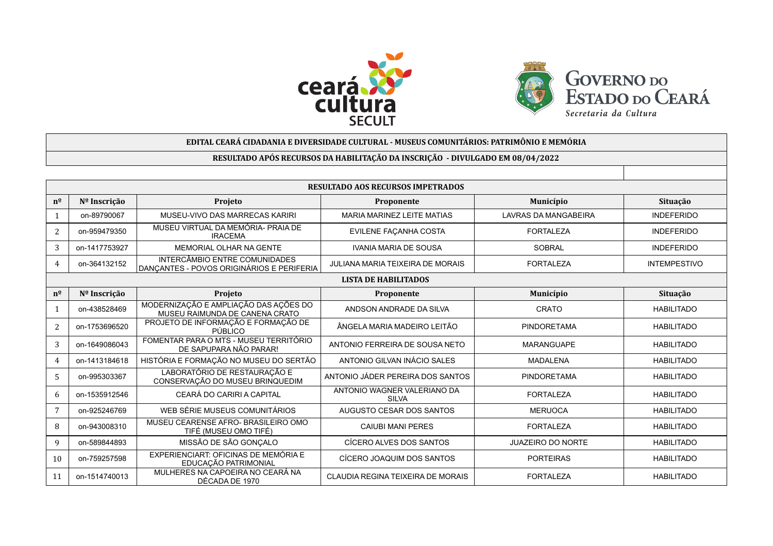



| EDITAL CEARÁ CIDADANIA E DIVERSIDADE CULTURAL - MUSEUS COMUNITÁRIOS: PATRIMÔNIO E MEMÓRIA |               |                                                                                   |                                             |                             |                     |  |  |  |
|-------------------------------------------------------------------------------------------|---------------|-----------------------------------------------------------------------------------|---------------------------------------------|-----------------------------|---------------------|--|--|--|
| RESULTADO APÓS RECURSOS DA HABILITAÇÃO DA INSCRIÇÃO - DIVULGADO EM 08/04/2022             |               |                                                                                   |                                             |                             |                     |  |  |  |
|                                                                                           |               |                                                                                   |                                             |                             |                     |  |  |  |
| <b>RESULTADO AOS RECURSOS IMPETRADOS</b>                                                  |               |                                                                                   |                                             |                             |                     |  |  |  |
| $n^{\Omega}$                                                                              | Nº Inscrição  | Projeto                                                                           | Proponente                                  | Município                   | Situação            |  |  |  |
| 1                                                                                         | on-89790067   | MUSEU-VIVO DAS MARRECAS KARIRI                                                    | MARIA MARINEZ LEITE MATIAS                  | <b>LAVRAS DA MANGABEIRA</b> | <b>INDEFERIDO</b>   |  |  |  |
| 2                                                                                         | on-959479350  | MUSEU VIRTUAL DA MEMÓRIA- PRAJA DE<br><b>IRACEMA</b>                              | EVILENE FAÇANHA COSTA                       | <b>FORTALEZA</b>            | <b>INDEFERIDO</b>   |  |  |  |
| 3                                                                                         | on-1417753927 | MEMORIAL OLHAR NA GENTE                                                           | <b>IVANIA MARIA DE SOUSA</b>                | <b>SOBRAL</b>               | <b>INDEFERIDO</b>   |  |  |  |
| 4                                                                                         | on-364132152  | <b>INTERCÂMBIO ENTRE COMUNIDADES</b><br>DANÇANTES - POVOS ORIGINÁRIOS E PERIFERIA | JULIANA MARIA TEIXEIRA DE MORAIS            | <b>FORTALEZA</b>            | <b>INTEMPESTIVO</b> |  |  |  |
| <b>LISTA DE HABILITADOS</b>                                                               |               |                                                                                   |                                             |                             |                     |  |  |  |
| $n^{\underline{0}}$                                                                       | Nº Inscrição  | Projeto                                                                           | Proponente                                  | Município                   | Situação            |  |  |  |
| $\mathbf{1}$                                                                              | on-438528469  | MODERNIZAÇÃO E AMPLIAÇÃO DAS AÇÕES DO<br>MUSEU RAIMUNDA DE CANENA CRATO           | ANDSON ANDRADE DA SILVA                     | CRATO                       | <b>HABILITADO</b>   |  |  |  |
| 2                                                                                         | on-1753696520 | PROJETO DE INFORMAÇÃO E FORMAÇÃO DE<br>PÚBLICO                                    | ÂNGELA MARIA MADEIRO LEITÃO                 | <b>PINDORETAMA</b>          | <b>HABILITADO</b>   |  |  |  |
| 3                                                                                         | on-1649086043 | FOMENTAR PARA O MTS - MUSEU TERRITÓRIO<br>DE SAPUPARA NÃO PARAR!                  | ANTONIO FERREIRA DE SOUSA NETO              | <b>MARANGUAPE</b>           | <b>HABILITADO</b>   |  |  |  |
| $\overline{4}$                                                                            | on-1413184618 | HISTÓRIA E FORMAÇÃO NO MUSEU DO SERTÃO                                            | ANTONIO GILVAN INÁCIO SALES                 | <b>MADALENA</b>             | <b>HABILITADO</b>   |  |  |  |
| 5                                                                                         | on-995303367  | LABORATÓRIO DE RESTAURAÇÃO E<br>CONSERVAÇÃO DO MUSEU BRINQUEDIM                   | ANTONIO JÁDER PEREIRA DOS SANTOS            | <b>PINDORETAMA</b>          | <b>HABILITADO</b>   |  |  |  |
| 6                                                                                         | on-1535912546 | CEARÁ DO CARIRI A CAPITAL                                                         | ANTONIO WAGNER VALERIANO DA<br><b>SILVA</b> | <b>FORTALEZA</b>            | <b>HABILITADO</b>   |  |  |  |
| 7                                                                                         | on-925246769  | WEB SÉRIE MUSEUS COMUNITÁRIOS                                                     | AUGUSTO CESAR DOS SANTOS                    | <b>MERUOCA</b>              | <b>HABILITADO</b>   |  |  |  |
| 8                                                                                         | on-943008310  | MUSEU CEARENSE AFRO- BRASILEIRO OMO<br>TIFÉ (MUSEU OMO TIFÉ)                      | <b>CAIUBI MANI PERES</b>                    | <b>FORTALEZA</b>            | <b>HABILITADO</b>   |  |  |  |
| 9                                                                                         | on-589844893  | MISSÃO DE SÃO GONÇALO                                                             | CÍCERO ALVES DOS SANTOS                     | <b>JUAZEIRO DO NORTE</b>    | <b>HABILITADO</b>   |  |  |  |
| 10                                                                                        | on-759257598  | EXPERIENCIART: OFICINAS DE MEMÓRIA E<br>EDUCAÇÃO PATRIMONIAL                      | CÍCERO JOAQUIM DOS SANTOS                   | <b>PORTEIRAS</b>            | <b>HABILITADO</b>   |  |  |  |
| 11                                                                                        | on-1514740013 | MULHERES NA CAPOEIRA NO CEARÁ NA<br>DÉCADA DE 1970                                | CLAUDIA REGINA TEIXEIRA DE MORAIS           | <b>FORTALEZA</b>            | <b>HABILITADO</b>   |  |  |  |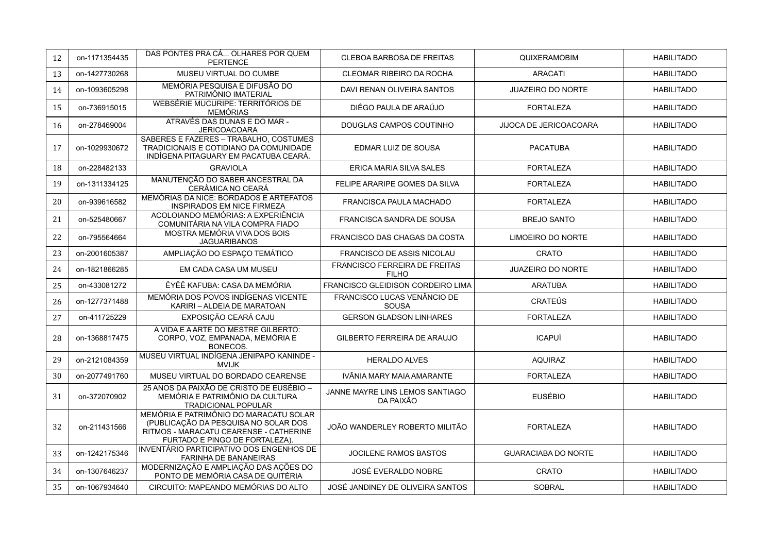| 12 | on-1171354435 | DAS PONTES PRA CÁ OLHARES POR QUEM<br><b>PERTENCE</b>                                                                                                      | <b>CLEBOA BARBOSA DE FREITAS</b>              | <b>QUIXERAMOBIM</b>           | <b>HABILITADO</b> |
|----|---------------|------------------------------------------------------------------------------------------------------------------------------------------------------------|-----------------------------------------------|-------------------------------|-------------------|
| 13 | on-1427730268 | MUSEU VIRTUAL DO CUMBE                                                                                                                                     | <b>CLEOMAR RIBEIRO DA ROCHA</b>               | <b>ARACATI</b>                | <b>HABILITADO</b> |
| 14 | on-1093605298 | MEMÓRIA PESQUISA E DIFUSÃO DO<br>PATRIMÔNIO IMATERIAL                                                                                                      | DAVI RENAN OLIVEIRA SANTOS                    | <b>JUAZEIRO DO NORTE</b>      | <b>HABILITADO</b> |
| 15 | on-736915015  | WEBSÉRIE MUCURIPE: TERRITÓRIOS DE<br><b>MEMÓRIAS</b>                                                                                                       | DIÊGO PAULA DE ARAÚJO                         | <b>FORTALEZA</b>              | <b>HABILITADO</b> |
| 16 | on-278469004  | ATRAVÉS DAS DUNAS E DO MAR -<br><b>JERICOACOARA</b>                                                                                                        | DOUGLAS CAMPOS COUTINHO                       | <b>JIJOCA DE JERICOACOARA</b> | <b>HABILITADO</b> |
| 17 | on-1029930672 | SABERES E FAZERES - TRABALHO, COSTUMES<br>TRADICIONAIS E COTIDIANO DA COMUNIDADE<br>INDÍGENA PITAGUARY EM PACATUBA CEARÁ.                                  | <b>EDMAR LUIZ DE SOUSA</b>                    | <b>PACATUBA</b>               | <b>HABILITADO</b> |
| 18 | on-228482133  | <b>GRAVIOLA</b>                                                                                                                                            | ERICA MARIA SILVA SALES                       | <b>FORTALEZA</b>              | <b>HABILITADO</b> |
| 19 | on-1311334125 | MANUTENÇÃO DO SABER ANCESTRAL DA<br>CERÂMICA NO CEARÁ                                                                                                      | FELIPE ARARIPE GOMES DA SILVA                 | <b>FORTALEZA</b>              | <b>HABILITADO</b> |
| 20 | on-939616582  | MEMÓRIAS DA NICE: BORDADOS E ARTEFATOS<br><b>INSPIRADOS EM NICE FIRMEZA</b>                                                                                | <b>FRANCISCA PAULA MACHADO</b>                | <b>FORTALEZA</b>              | <b>HABILITADO</b> |
| 21 | on-525480667  | ACOLOIANDO MEMÓRIAS: A EXPERIÊNCIA<br>COMUNITÁRIA NA VILA COMPRA FIADO                                                                                     | <b>FRANCISCA SANDRA DE SOUSA</b>              | <b>BREJO SANTO</b>            | <b>HABILITADO</b> |
| 22 | on-795564664  | MOSTRA MEMÓRIA VIVA DOS BOIS<br><b>JAGUARIBANOS</b>                                                                                                        | <b>FRANCISCO DAS CHAGAS DA COSTA</b>          | <b>LIMOEIRO DO NORTE</b>      | <b>HABILITADO</b> |
| 23 | on-2001605387 | AMPLIAÇÃO DO ESPAÇO TEMÁTICO                                                                                                                               | FRANCISCO DE ASSIS NICOLAU                    | <b>CRATO</b>                  | <b>HABILITADO</b> |
| 24 | on-1821866285 | EM CADA CASA UM MUSEU                                                                                                                                      | FRANCISCO FERREIRA DE FREITAS<br><b>FILHO</b> | <b>JUAZEIRO DO NORTE</b>      | <b>HABILITADO</b> |
| 25 | on-433081272  | ÊYÊÊ KAFUBA: CASA DA MEMÓRIA                                                                                                                               | FRANCISCO GLEIDISON CORDEIRO LIMA             | <b>ARATUBA</b>                | <b>HABILITADO</b> |
| 26 | on-1277371488 | MEMÓRIA DOS POVOS INDÍGENAS VICENTE<br>KARIRI - ALDEIA DE MARATOAN                                                                                         | <b>FRANCISCO LUCAS VENÂNCIO DE</b><br>SOUSA   | <b>CRATEÚS</b>                | <b>HABILITADO</b> |
| 27 | on-411725229  | EXPOSIÇÃO CEARÁ CAJU                                                                                                                                       | <b>GERSON GLADSON LINHARES</b>                | <b>FORTALEZA</b>              | <b>HABILITADO</b> |
| 28 | on-1368817475 | A VIDA E A ARTE DO MESTRE GILBERTO:<br>CORPO, VOZ, EMPANADA, MEMÓRIA E<br>BONECOS.                                                                         | <b>GILBERTO FERREIRA DE ARAUJO</b>            | <b>ICAPUÍ</b>                 | <b>HABILITADO</b> |
| 29 | on-2121084359 | MUSEU VIRTUAL INDÍGENA JENIPAPO KANINDE -<br><b>MVIJK</b>                                                                                                  | <b>HERALDO ALVES</b>                          | <b>AQUIRAZ</b>                | <b>HABILITADO</b> |
| 30 | on-2077491760 | MUSEU VIRTUAL DO BORDADO CEARENSE                                                                                                                          | IVÂNIA MARY MAIA AMARANTE                     | <b>FORTALEZA</b>              | <b>HABILITADO</b> |
| 31 | on-372070902  | 25 ANOS DA PAIXÃO DE CRISTO DE EUSÉBIO -<br>MEMÓRIA E PATRIMÔNIO DA CULTURA<br><b>TRADICIONAL POPULAR</b>                                                  | JANNE MAYRE LINS LEMOS SANTIAGO<br>DA PAIXÃO  | <b>EUSÉBIO</b>                | <b>HABILITADO</b> |
| 32 | on-211431566  | MEMÓRIA E PATRIMÔNIO DO MARACATU SOLAR<br>(PUBLICAÇÃO DA PESQUISA NO SOLAR DOS<br>RITMOS - MARACATU CEARENSE - CATHERINE<br>FURTADO E PINGO DE FORTALEZA). | JOÃO WANDERLEY ROBERTO MILITÃO                | <b>FORTALEZA</b>              | <b>HABILITADO</b> |
| 33 | on-1242175346 | INVENTÁRIO PARTICIPATIVO DOS ENGENHOS DE<br><b>FARINHA DE BANANEIRAS</b>                                                                                   | <b>JOCILENE RAMOS BASTOS</b>                  | <b>GUARACIABA DO NORTE</b>    | <b>HABILITADO</b> |
| 34 | on-1307646237 | MODERNIZAÇÃO E AMPLIAÇÃO DAS AÇÕES DO<br>PONTO DE MEMÓRIA CÁSA DE QUITÉRIA                                                                                 | JOSÉ EVERALDO NOBRE                           | <b>CRATO</b>                  | <b>HABILITADO</b> |
| 35 | on-1067934640 | CIRCUITO: MAPEANDO MEMÓRIAS DO ALTO                                                                                                                        | JOSÉ JANDINEY DE OLIVEIRA SANTOS              | <b>SOBRAL</b>                 | <b>HABILITADO</b> |